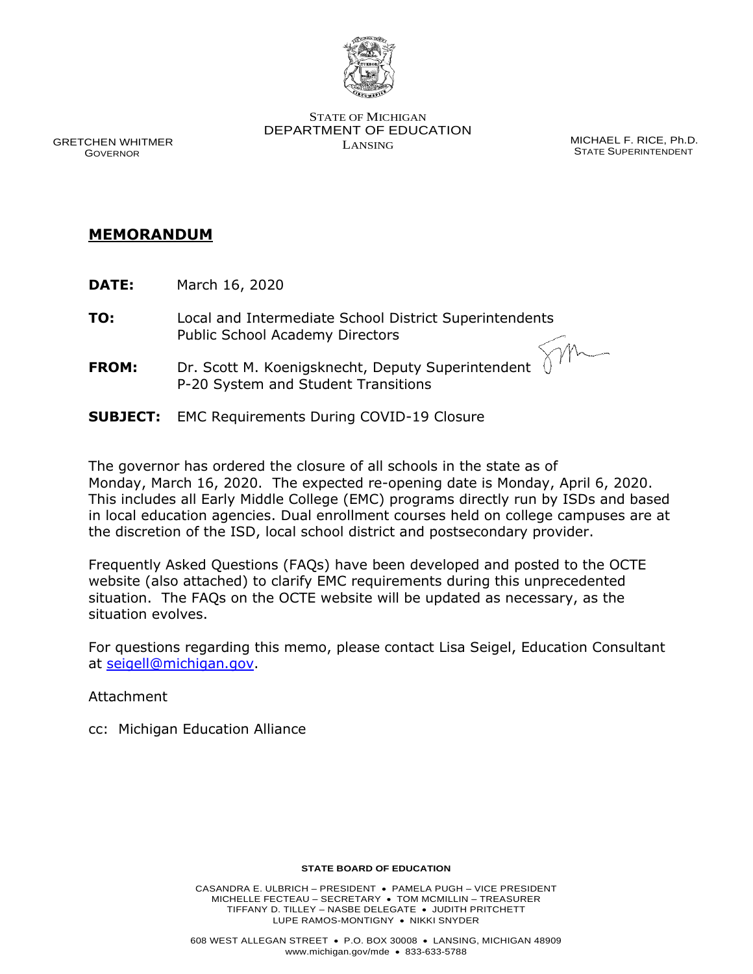

STATE OF MICHIGAN DEPARTMENT OF EDUCATION LANSING MICHAEL F. RICE, Ph.D.

STATE SUPERINTENDENT

 GRETCHEN WHITMER GOVERNOR

## **MEMORANDUM**

- **DATE:** March 16, 2020
- **TO:** Local and Intermediate School District Superintendents Public School Academy Directors
- **FROM:** Dr. Scott M. Koenigsknecht, Deputy Superintendent P-20 System and Student Transitions
- **SUBJECT:** EMC Requirements During COVID-19 Closure

The governor has ordered the closure of all schools in the state as of Monday, March 16, 2020. The expected re-opening date is Monday, April 6, 2020. This includes all Early Middle College (EMC) programs directly run by ISDs and based in local education agencies. Dual enrollment courses held on college campuses are at the discretion of the ISD, local school district and postsecondary provider.

Frequently Asked Questions (FAQs) have been developed and posted to the OCTE website (also attached) to clarify EMC requirements during this unprecedented situation. The FAQs on the OCTE website will be updated as necessary, as the situation evolves.

For questions regarding this memo, please contact Lisa Seigel, Education Consultant at [seigell@michigan.gov.](mailto:seigell@michigan.gov)

Attachment

cc: Michigan Education Alliance

## **STATE BOARD OF EDUCATION**

CASANDRA E. ULBRICH – PRESIDENT • PAMELA PUGH – VICE PRESIDENT MICHELLE FECTEAU – SECRETARY • TOM MCMILLIN – TREASURER TIFFANY D. TILLEY – NASBE DELEGATE • JUDITH PRITCHETT LUPE RAMOS-MONTIGNY • NIKKI SNYDER